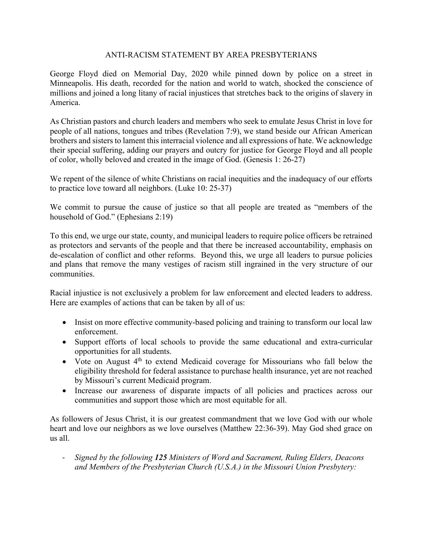## ANTI-RACISM STATEMENT BY AREA PRESBYTERIANS

George Floyd died on Memorial Day, 2020 while pinned down by police on a street in Minneapolis. His death, recorded for the nation and world to watch, shocked the conscience of millions and joined a long litany of racial injustices that stretches back to the origins of slavery in America.

As Christian pastors and church leaders and members who seek to emulate Jesus Christ in love for people of all nations, tongues and tribes (Revelation 7:9), we stand beside our African American brothers and sisters to lament this interracial violence and all expressions of hate. We acknowledge their special suffering, adding our prayers and outcry for justice for George Floyd and all people of color, wholly beloved and created in the image of God. (Genesis 1: 26-27)

We repent of the silence of white Christians on racial inequities and the inadequacy of our efforts to practice love toward all neighbors. (Luke 10: 25-37)

We commit to pursue the cause of justice so that all people are treated as "members of the household of God." (Ephesians 2:19)

To this end, we urge our state, county, and municipal leaders to require police officers be retrained as protectors and servants of the people and that there be increased accountability, emphasis on de-escalation of conflict and other reforms. Beyond this, we urge all leaders to pursue policies and plans that remove the many vestiges of racism still ingrained in the very structure of our communities.

Racial injustice is not exclusively a problem for law enforcement and elected leaders to address. Here are examples of actions that can be taken by all of us:

- Insist on more effective community-based policing and training to transform our local law enforcement.
- Support efforts of local schools to provide the same educational and extra-curricular opportunities for all students.
- Vote on August  $4<sup>th</sup>$  to extend Medicaid coverage for Missourians who fall below the eligibility threshold for federal assistance to purchase health insurance, yet are not reached by Missouri's current Medicaid program.
- Increase our awareness of disparate impacts of all policies and practices across our communities and support those which are most equitable for all.

As followers of Jesus Christ, it is our greatest commandment that we love God with our whole heart and love our neighbors as we love ourselves (Matthew 22:36-39). May God shed grace on us all.

- *Signed by the following 125 Ministers of Word and Sacrament, Ruling Elders, Deacons and Members of the Presbyterian Church (U.S.A.) in the Missouri Union Presbytery:*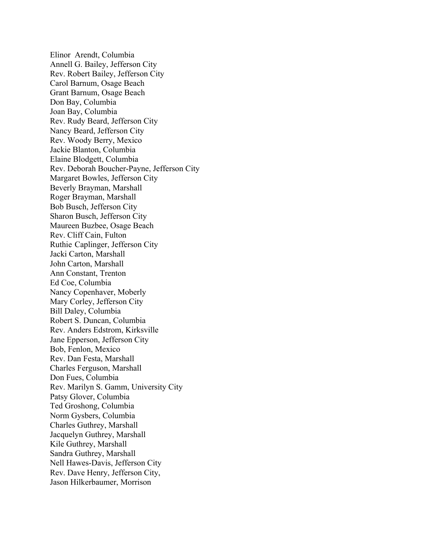Elinor Arendt, Columbia Annell G. Bailey, Jefferson City Rev. Robert Bailey, Jefferson City Carol Barnum, Osage Beach Grant Barnum, Osage Beach Don Bay, Columbia Joan Bay, Columbia Rev. Rudy Beard, Jefferson City Nancy Beard, Jefferson City Rev. Woody Berry, Mexico Jackie Blanton, Columbia Elaine Blodgett, Columbia Rev. Deborah Boucher-Payne, Jefferson City Margaret Bowles, Jefferson City Beverly Brayman, Marshall Roger Brayman, Marshall Bob Busch, Jefferson City Sharon Busch, Jefferson City Maureen Buzbee, Osage Beach Rev. Cliff Cain, Fulton Ruthie Caplinger, Jefferson City Jacki Carton, Marshall John Carton, Marshall Ann Constant, Trenton Ed Coe, Columbia Nancy Copenhaver, Moberly Mary Corley, Jefferson City Bill Daley, Columbia Robert S. Duncan, Columbia Rev. Anders Edstrom, Kirksville Jane Epperson, Jefferson City Bob, Fenlon, Mexico Rev. Dan Festa, Marshall Charles Ferguson, Marshall Don Fues, Columbia Rev. Marilyn S. Gamm, University City Patsy Glover, Columbia Ted Groshong, Columbia Norm Gysbers, Columbia Charles Guthrey, Marshall Jacquelyn Guthrey, Marshall Kile Guthrey, Marshall Sandra Guthrey, Marshall Nell Hawes-Davis, Jefferson City Rev. Dave Henry, Jefferson City, Jason Hilkerbaumer, Morrison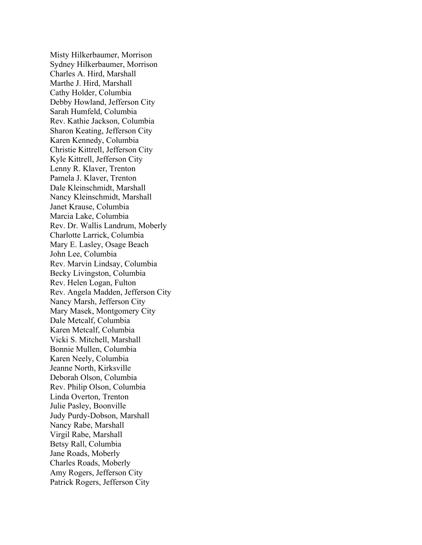Misty Hilkerbaumer, Morrison Sydney Hilkerbaumer, Morrison Charles A. Hird, Marshall Marthe J. Hird, Marshall Cathy Holder, Columbia Debby Howland, Jefferson City Sarah Humfeld, Columbia Rev. Kathie Jackson, Columbia Sharon Keating, Jefferson City Karen Kennedy, Columbia Christie Kittrell, Jefferson City Kyle Kittrell, Jefferson City Lenny R. Klaver, Trenton Pamela J. Klaver, Trenton Dale Kleinschmidt, Marshall Nancy Kleinschmidt, Marshall Janet Krause, Columbia Marcia Lake, Columbia Rev. Dr. Wallis Landrum, Moberly Charlotte Larrick, Columbia Mary E. Lasley, Osage Beach John Lee, Columbia Rev. Marvin Lindsay, Columbia Becky Livingston, Columbia Rev. Helen Logan, Fulton Rev. Angela Madden, Jefferson City Nancy Marsh, Jefferson City Mary Masek, Montgomery City Dale Metcalf, Columbia Karen Metcalf, Columbia Vicki S. Mitchell, Marshall Bonnie Mullen, Columbia Karen Neely, Columbia Jeanne North, Kirksville Deborah Olson, Columbia Rev. Philip Olson, Columbia Linda Overton, Trenton Julie Pasley, Boonville Judy Purdy-Dobson, Marshall Nancy Rabe, Marshall Virgil Rabe, Marshall Betsy Rall, Columbia Jane Roads, Moberly Charles Roads, Moberly Amy Rogers, Jefferson City Patrick Rogers, Jefferson City